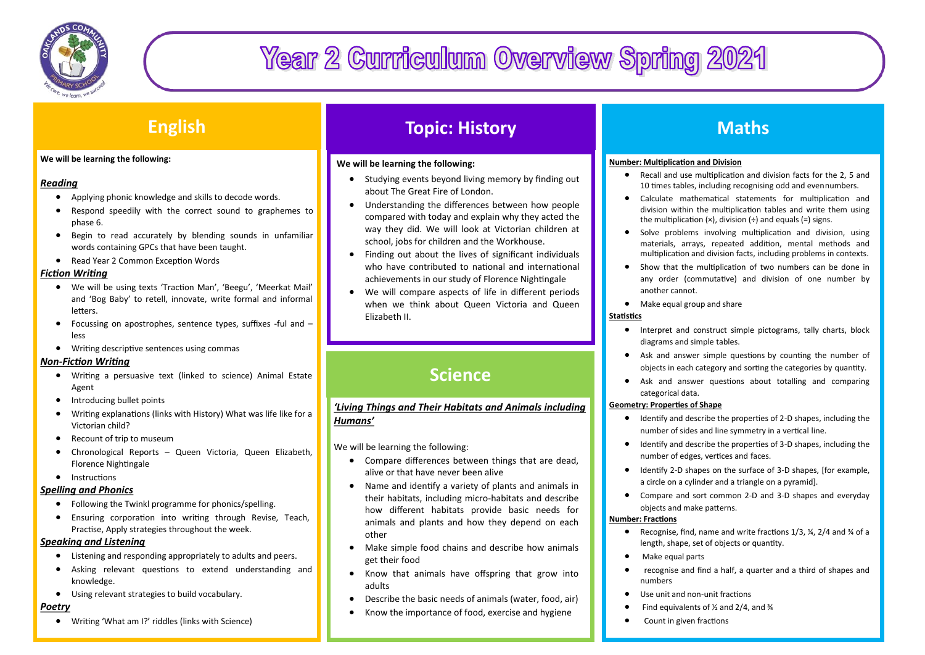

# **Year 2 Curriculum Overview Spring 2021**

# **English**

#### **We will be learning the following:**

## *Reading*

- Applying phonic knowledge and skills to decode words.
- Respond speedily with the correct sound to graphemes to phase 6.
- Begin to read accurately by blending sounds in unfamiliar words containing GPCs that have been taught.
- Read Year 2 Common Exception Words

## *Fiction Writing*

- We will be using texts 'Traction Man', 'Beegu', 'Meerkat Mail' and 'Bog Baby' to retell, innovate, write formal and informal letters.
- Focussing on apostrophes, sentence types, suffixes -ful and less
- Writing descriptive sentences using commas

### *Non-Fiction Writing*

- Writing a persuasive text (linked to science) Animal Estate Agent
- Introducing bullet points
- Writing explanations (links with History) What was life like for a Victorian child?
- Recount of trip to museum
- Chronological Reports Queen Victoria, Queen Elizabeth, Florence Nightingale
- **•** Instructions

### *Spelling and Phonics*

- Following the Twinkl programme for phonics/spelling.
- Ensuring corporation into writing through Revise, Teach, Practise, Apply strategies throughout the week.

# *Speaking and Listening*

- Listening and responding appropriately to adults and peers.
- Asking relevant questions to extend understanding and knowledge.
- Using relevant strategies to build vocabulary.

# *Poetry*

Writing 'What am I?' riddles (links with Science)

# **Topic: History**

## **We will be learning the following:**

- Studying events beyond living memory by finding out about The Great Fire of London.
- Understanding the differences between how people compared with today and explain why they acted the way they did. We will look at Victorian children at school, jobs for children and the Workhouse.
- Finding out about the lives of significant individuals who have contributed to national and international achievements in our study of Florence Nightingale
- We will compare aspects of life in different periods when we think about Queen Victoria and Queen Elizabeth II.

# **Science**

# *'Living Things and Their Habitats and Animals including Humans'*

We will be learning the following:

- Compare differences between things that are dead, alive or that have never been alive
- Name and identify a variety of plants and animals in their habitats, including micro-habitats and describe how different habitats provide basic needs for animals and plants and how they depend on each other
- Make simple food chains and describe how animals get their food
- Know that animals have offspring that grow into adults
- Describe the basic needs of animals (water, food, air)
- Know the importance of food, exercise and hygiene

# **Maths**

## **Number: Multiplication and Division**

- Recall and use multiplication and division facts for the 2, 5 and 10 times tables, including recognising odd and evennumbers.
- Calculate mathematical statements for multiplication and division within the multiplication tables and write them using the multiplication  $(x)$ , division  $(\div)$  and equals  $(=)$  signs.
- Solve problems involving multiplication and division, using materials, arrays, repeated addition, mental methods and multiplication and division facts, including problems in contexts.
- Show that the multiplication of two numbers can be done in any order (commutative) and division of one number by another cannot.
- Make equal group and share

# **Statistics**

- Interpret and construct simple pictograms, tally charts, block diagrams and simple tables.
- Ask and answer simple questions by counting the number of objects in each category and sorting the categories by quantity.
- Ask and answer questions about totalling and comparing categorical data.

### **Geometry: Properties of Shape**

- Identify and describe the properties of 2-D shapes, including the number of sides and line symmetry in a vertical line.
- Identify and describe the properties of 3-D shapes, including the number of edges, vertices and faces.
- Identify 2-D shapes on the surface of 3-D shapes, [for example, a circle on a cylinder and a triangle on a pyramid].
- Compare and sort common 2-D and 3-D shapes and everyday objects and make patterns.

### **Number: Fractions**

- Recognise, find, name and write fractions 1/3, ¼, 2/4 and ¾ of a length, shape, set of objects or quantity.
- Make equal parts
- recognise and find a half, a quarter and a third of shapes and numbers
- Use unit and non-unit fractions
- Find equivalents of ½ and 2/4, and ¾
- Count in given fractions